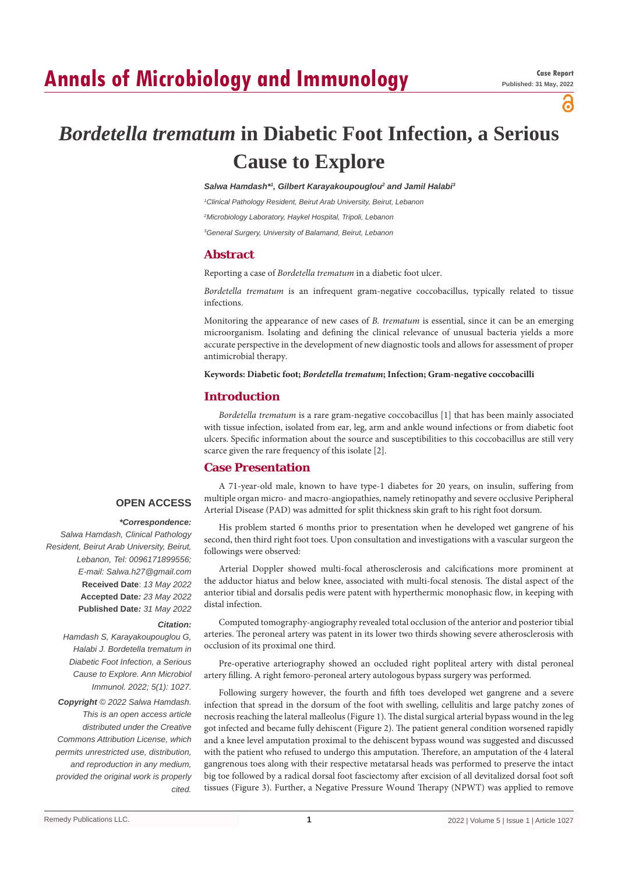# **Annals of Microbiology and Immunology**

പ്പ

# *Bordetella trematum* **in Diabetic Foot Infection, a Serious Cause to Explore**

#### Salwa Hamdash\*<sup>1</sup>, Gilbert Karayakoupouglou<sup>2</sup> and Jamil Halabi<sup>3</sup>

*1 Clinical Pathology Resident, Beirut Arab University, Beirut, Lebanon*

*2 Microbiology Laboratory, Haykel Hospital, Tripoli, Lebanon*

*3 General Surgery, University of Balamand, Beirut, Lebanon*

## **Abstract**

Reporting a case of *Bordetella trematum* in a diabetic foot ulcer.

*Bordetella trematum* is an infrequent gram-negative coccobacillus, typically related to tissue infections.

Monitoring the appearance of new cases of *B. trematum* is essential, since it can be an emerging microorganism. Isolating and defining the clinical relevance of unusual bacteria yields a more accurate perspective in the development of new diagnostic tools and allows for assessment of proper antimicrobial therapy.

#### **Keywords: Diabetic foot;** *Bordetella trematum***; Infection; Gram-negative coccobacilli**

#### **Introduction**

*Bordetella trematum* is a rare gram-negative coccobacillus [1] that has been mainly associated with tissue infection, isolated from ear, leg, arm and ankle wound infections or from diabetic foot ulcers. Specific information about the source and susceptibilities to this coccobacillus are still very scarce given the rare frequency of this isolate [2].

## **Case Presentation**

#### **OPEN ACCESS**

#### *\*Correspondence:*

*Salwa Hamdash, Clinical Pathology Resident, Beirut Arab University, Beirut, Lebanon, Tel: 0096171899556; E-mail: Salwa.h27@gmail.com* **Received Date**: *13 May 2022* **Accepted Date***: 23 May 2022* **Published Date***: 31 May 2022*

#### *Citation:*

*Hamdash S, Karayakoupouglou G, Halabi J. Bordetella trematum in Diabetic Foot Infection, a Serious Cause to Explore. Ann Microbiol Immunol. 2022; 5(1): 1027.*

*Copyright © 2022 Salwa Hamdash. This is an open access article distributed under the Creative Commons Attribution License, which permits unrestricted use, distribution, and reproduction in any medium, provided the original work is properly cited.*

A 71-year-old male, known to have type-1 diabetes for 20 years, on insulin, suffering from multiple organ micro- and macro-angiopathies, namely retinopathy and severe occlusive Peripheral Arterial Disease (PAD) was admitted for split thickness skin graft to his right foot dorsum.

His problem started 6 months prior to presentation when he developed wet gangrene of his second, then third right foot toes. Upon consultation and investigations with a vascular surgeon the followings were observed:

Arterial Doppler showed multi-focal atherosclerosis and calcifications more prominent at the adductor hiatus and below knee, associated with multi-focal stenosis. The distal aspect of the anterior tibial and dorsalis pedis were patent with hyperthermic monophasic flow, in keeping with distal infection.

Computed tomography-angiography revealed total occlusion of the anterior and posterior tibial arteries. The peroneal artery was patent in its lower two thirds showing severe atherosclerosis with occlusion of its proximal one third.

Pre-operative arteriography showed an occluded right popliteal artery with distal peroneal artery filling. A right femoro-peroneal artery autologous bypass surgery was performed.

Following surgery however, the fourth and fifth toes developed wet gangrene and a severe infection that spread in the dorsum of the foot with swelling, cellulitis and large patchy zones of necrosis reaching the lateral malleolus (Figure 1). The distal surgical arterial bypass wound in the leg got infected and became fully dehiscent (Figure 2). The patient general condition worsened rapidly and a knee level amputation proximal to the dehiscent bypass wound was suggested and discussed with the patient who refused to undergo this amputation. Therefore, an amputation of the 4 lateral gangrenous toes along with their respective metatarsal heads was performed to preserve the intact big toe followed by a radical dorsal foot fasciectomy after excision of all devitalized dorsal foot soft tissues (Figure 3). Further, a Negative Pressure Wound Therapy (NPWT) was applied to remove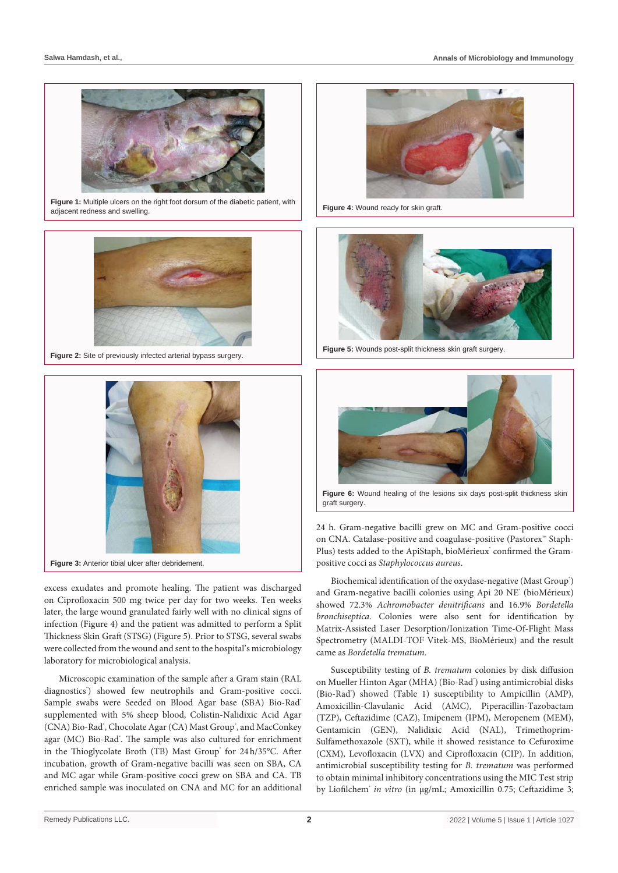

**Figure 1:** Multiple ulcers on the right foot dorsum of the diabetic patient, with adjacent redness and swelling.



**Figure 2:** Site of previously infected arterial bypass surgery.



Figure 3: Anterior tibial ulcer after debridement.

excess exudates and promote healing. The patient was discharged on Ciprofloxacin 500 mg twice per day for two weeks. Ten weeks later, the large wound granulated fairly well with no clinical signs of infection (Figure 4) and the patient was admitted to perform a Split Thickness Skin Graft (STSG) (Figure 5). Prior to STSG, several swabs were collected from the wound and sent to the hospital's microbiology laboratory for microbiological analysis.

Microscopic examination of the sample after a Gram stain (RAL diagnostics') showed few neutrophils and Gram-positive cocci. Sample swabs were Seeded on Blood Agar base (SBA) Bio-Rad<sup>®</sup> supplemented with 5% sheep blood, Colistin-Nalidixic Acid Agar (CNA) Bio-Rad', Chocolate Agar (CA) Mast Group', and MacConkey agar (MC) Bio-Rad<sup>®</sup>. The sample was also cultured for enrichment in the Thioglycolate Broth (TB) Mast Group' for 24h/35°C. After incubation, growth of Gram-negative bacilli was seen on SBA, CA and MC agar while Gram-positive cocci grew on SBA and CA. TB enriched sample was inoculated on CNA and MC for an additional



**Figure 4:** Wound ready for skin graft.



**Figure 5:** Wounds post-split thickness skin graft surgery.



**Figure 6:** Wound healing of the lesions six days post-split thickness skin graft surgery.

24 h. Gram-negative bacilli grew on MC and Gram-positive cocci on CNA. Catalase-positive and coagulase-positive (Pastorex™ Staph-Plus) tests added to the ApiStaph, bioMérieux' confirmed the Grampositive cocci as *Staphylococcus aureus*.

Biochemical identification of the oxydase-negative (Mast Group') and Gram-negative bacilli colonies using Api 20 NE<sup>®</sup> (bioMérieux) showed 72.3% *Achromobacter denitrificans* and 16.9% *Bordetella bronchiseptica*. Colonies were also sent for identification by Matrix-Assisted Laser Desorption/Ionization Time-Of-Flight Mass Spectrometry (MALDI-TOF Vitek-MS, BioMérieux) and the result came as *Bordetella trematum*.

Susceptibility testing of *B. trematum* colonies by disk diffusion on Mueller Hinton Agar (MHA) (Bio-Rad') using antimicrobial disks (Bio-Rad') showed (Table 1) susceptibility to Ampicillin (AMP), Amoxicillin-Clavulanic Acid (AMC), Piperacillin-Tazobactam (TZP), Ceftazidime (CAZ), Imipenem (IPM), Meropenem (MEM), Gentamicin (GEN), Nalidixic Acid (NAL), Trimethoprim-Sulfamethoxazole (SXT), while it showed resistance to Cefuroxime (CXM), Levofloxacin (LVX) and Ciprofloxacin (CIP). In addition, antimicrobial susceptibility testing for *B. trematum* was performed to obtain minimal inhibitory concentrations using the MIC Test strip by Liofilchem® *in vitro* (in µg/mL; Amoxicillin 0.75; Ceftazidime 3;